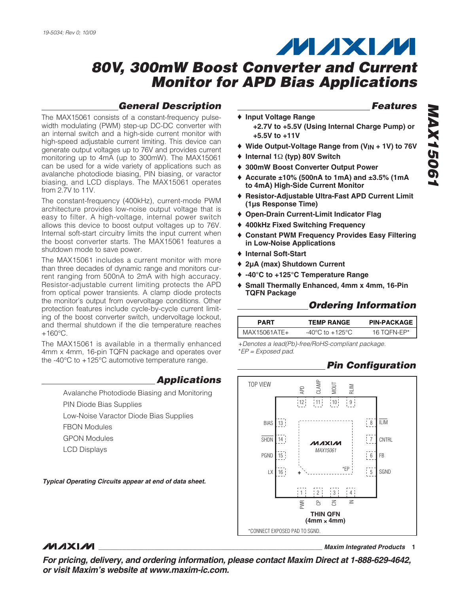from 2.7V to 11V.

## **MAXM**

## **80V, 300mW Boost Converter and Current Monitor for APD Bias Applications**

## **General Description**

**Features**

- The MAX15061 consists of a constant-frequency pulsewidth modulating (PWM) step-up DC-DC converter with an internal switch and a high-side current monitor with high-speed adjustable current limiting. This device can generate output voltages up to 76V and provides current monitoring up to 4mA (up to 300mW). The MAX15061 can be used for a wide variety of applications such as ♦ **Input Voltage Range +2.7V to +5.5V (Using Internal Charge Pump) or +5.5V to +11V** ♦ **Wide Output-Voltage Range from (VIN + 1V) to 76V** ♦ **Internal 1**Ω **(typ) 80V Switch**
	- ♦ **300mW Boost Converter Output Power**
	- ♦ **Accurate ±10% (500nA to 1mA) and ±3.5% (1mA to 4mA) High-Side Current Monitor**
	- ♦ **Resistor-Adjustable Ultra-Fast APD Current Limit (1µs Response Time)**
	- ♦ **Open-Drain Current-Limit Indicator Flag**
	- ♦ **400kHz Fixed Switching Frequency**
	- ♦ **Constant PWM Frequency Provides Easy Filtering in Low-Noise Applications**
	- ♦ **Internal Soft-Start**
	- ♦ **2µA (max) Shutdown Current**
	- ♦ **-40°C to +125°C Temperature Range**
	- ♦ **Small Thermally Enhanced, 4mm x 4mm, 16-Pin TQFN Package**

## **Ordering Information**

| PART           | <b>TEMP RANGE</b> | <b>PIN-PACKAGE</b> |
|----------------|-------------------|--------------------|
| $MAX15061ATF+$ | -40°C to +125°C.  | 16 TOFN-EP*        |

+Denotes a lead(Pb)-free/RoHS-compliant package. \*EP = Exposed pad.

## **Pin Configuration**



# **MAX15061 MAX15061**

easy to filter. A high-voltage, internal power switch allows this device to boost output voltages up to 76V. Internal soft-start circuitry limits the input current when the boost converter starts. The MAX15061 features a shutdown mode to save power. The MAX15061 includes a current monitor with more

avalanche photodiode biasing, PIN biasing, or varactor biasing, and LCD displays. The MAX15061 operates

The constant-frequency (400kHz), current-mode PWM architecture provides low-noise output voltage that is

than three decades of dynamic range and monitors current ranging from 500nA to 2mA with high accuracy. Resistor-adjustable current limiting protects the APD from optical power transients. A clamp diode protects the monitor's output from overvoltage conditions. Other protection features include cycle-by-cycle current limiting of the boost converter switch, undervoltage lockout, and thermal shutdown if the die temperature reaches  $+160^{\circ}$ C.

The MAX15061 is available in a thermally enhanced 4mm x 4mm, 16-pin TQFN package and operates over the -40°C to +125°C automotive temperature range.

## **Applications**

Avalanche Photodiode Biasing and Monitoring PIN Diode Bias Supplies Low-Noise Varactor Diode Bias Supplies FBON Modules GPON Modules

LCD Displays

**Typical Operating Circuits appear at end of data sheet.**

## **MAXIM**

**\_\_\_\_\_\_\_\_\_\_\_\_\_\_\_\_\_\_\_\_\_\_\_\_\_\_\_\_\_\_\_\_\_\_\_\_\_\_\_\_\_\_\_\_\_\_\_\_\_\_\_\_\_\_\_\_\_\_\_\_\_\_\_\_ Maxim Integrated Products 1**

**For pricing, delivery, and ordering information, please contact Maxim Direct at 1-888-629-4642, or visit Maxim's website at www.maxim-ic.com.**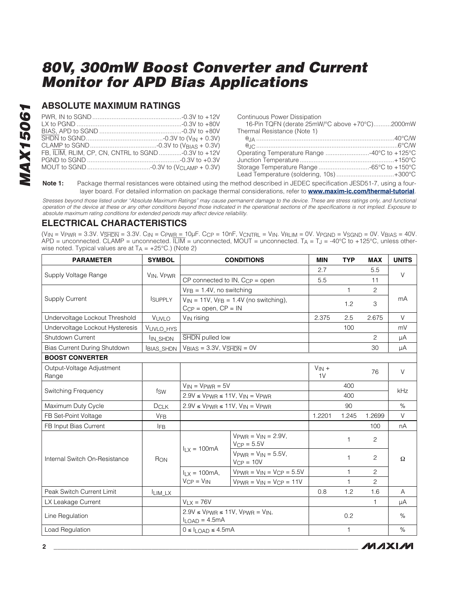## **ABSOLUTE MAXIMUM RATINGS**

| FB, ILIM, RLIM, CP, CN, CNTRL to SGND-0.3V to +12V |  |
|----------------------------------------------------|--|
|                                                    |  |
|                                                    |  |

| <b>Continuous Power Dissipation</b>            |  |
|------------------------------------------------|--|
| 16-Pin TQFN (derate 25mW/°C above +70°C)2000mW |  |
| Thermal Resistance (Note 1)                    |  |
|                                                |  |
|                                                |  |
| Operating Temperature Range 40°C to +125°C     |  |
|                                                |  |
|                                                |  |
| Lead Temperature (soldering, 10s)+300°C        |  |
|                                                |  |

**Note 1:** Package thermal resistances were obtained using the method described in JEDEC specification JESD51-7, using a fourlayer board. For detailed information on package thermal considerations, refer to **www.maxim-ic.com/thermal-tutorial**.

Stresses beyond those listed under "Absolute Maximum Ratings" may cause permanent damage to the device. These are stress ratings only, and functional operation of the device at these or any other conditions beyond those indicated in the operational sections of the specifications is not implied. Exposure to absolute maximum rating conditions for extended periods may affect device reliability.

## **ELECTRICAL CHARACTERISTICS**

(V<sub>IN</sub> = Vpwr = 3.3V. V<del>SHDN</del> = 3.3V. C<sub>IN</sub> = Cpw<u>r = </u>10μF. Ccp = 10nF, Vcntrl = Vin. Vrlim = 0V. Vpgnd = Vsgnd = 0V. V<sub>BIAS</sub> = 40V.  $APD =$  unconnected. CLAMP = unconnected.  $\overline{LIM} =$  unconnected, MOUT = unconnected. T<sub>A</sub> = T<sub>J</sub> = -40°C to +125°C, unless otherwise noted. Typical values are at  $T_A = +25^{\circ}C$ .) (Note 2)

| <b>PARAMETER</b>                    | <b>SYMBOL</b>         | <b>CONDITIONS</b>                                                                            |                                                              | <b>MIN</b>                   | <b>TYP</b>   | <b>MAX</b>     | <b>UNITS</b> |
|-------------------------------------|-----------------------|----------------------------------------------------------------------------------------------|--------------------------------------------------------------|------------------------------|--------------|----------------|--------------|
|                                     | VIN, VPWR             |                                                                                              |                                                              | 2.7                          |              | 5.5            | $\vee$       |
| Supply Voltage Range                |                       | CP connected to IN, $C_{CP}$ = open                                                          |                                                              | 5.5                          |              | 11             |              |
|                                     |                       | $VFB = 1.4V$ , no switching                                                                  |                                                              |                              | $\mathbf{1}$ | 2              |              |
| <b>Supply Current</b>               | <b>ISUPPLY</b>        | $V_{IN}$ = 11V, $V_{FB}$ = 1.4V (no switching),<br>$C_{\text{CP}}$ = open, $\text{CP}$ = IN  |                                                              |                              | 1.2          | 3              | mA           |
| Undervoltage Lockout Threshold      | VUVLO                 | V <sub>IN</sub> rising                                                                       |                                                              | 2.375                        | 2.5          | 2.675          | $\vee$       |
| Undervoltage Lockout Hysteresis     | VUVLO_HYS             |                                                                                              |                                                              |                              | 100          |                | mV           |
| Shutdown Current                    | I <sub>IN_SHDN</sub>  | SHDN pulled low                                                                              |                                                              |                              |              | 2              | μA           |
| <b>Bias Current During Shutdown</b> | <b>BIAS SHDN</b>      | $V_{BIAS} = 3.3V$ , $V_{\overline{SHDN}} = 0V$                                               |                                                              |                              |              | 30             | μA           |
| <b>BOOST CONVERTER</b>              |                       |                                                                                              |                                                              |                              |              |                |              |
| Output-Voltage Adjustment<br>Range  |                       |                                                                                              |                                                              | $V_{IN}$ +<br>1 <sub>V</sub> |              | 76             | $\vee$       |
|                                     | fsw                   | $V_{IN}$ = $V_{PWR}$ = $5V$                                                                  |                                                              |                              | 400          |                |              |
| Switching Frequency                 |                       | $2.9V \leq V$ PWR $\leq 11V$ , $V_{IN} = V$ PWR                                              |                                                              |                              | 400          |                | kHz          |
| Maximum Duty Cycle                  | DCLK                  | $2.9V \leq V$ PWR $\leq 11V$ , $V_{IN} = V$ PWR                                              |                                                              |                              | 90           |                | $\%$         |
| FB Set-Point Voltage                | <b>V<sub>FB</sub></b> |                                                                                              |                                                              | 1.2201                       | 1.245        | 1.2699         | V            |
| FB Input Bias Current               | <b>IFB</b>            |                                                                                              |                                                              |                              |              | 100            | nA           |
|                                     | R <sub>ON</sub>       | $II x = 100mA$                                                                               | $V_{\text{PWR}} = V_{\text{IN}} = 2.9V$ ,<br>$V_{CP} = 5.5V$ |                              | 1            | 2              | Ω            |
| Internal Switch On-Resistance       |                       |                                                                                              | $V_{PWR} = V_{IN} = 5.5V,$<br>$VCP = 10V$                    |                              | 1            | 2              |              |
|                                     |                       | $I_{1}x = 100mA$ ,                                                                           | $V_{\text{PWR}} = V_{\text{IN}} = V_{\text{CP}} = 5.5V$      |                              | $\mathbf{1}$ | $\overline{c}$ |              |
|                                     |                       | $VCP = VIN$                                                                                  | $V_{\text{PWR}} = V_{\text{IN}} = V_{\text{CP}} = 11V$       |                              | 1            | 2              |              |
| Peak Switch Current Limit           | LIM LX                |                                                                                              |                                                              | 0.8                          | 1.2          | 1.6            | A            |
| LX Leakage Current                  |                       | $V_{LX} = 76V$                                                                               |                                                              |                              |              | 1              | μA           |
| Line Regulation                     |                       | $2.9V \leq V_{\text{PWR}} \leq 11V$ , $V_{\text{PWR}} = V_{\text{IN}}$<br>$I_{LOAD} = 4.5mA$ |                                                              | 0.2                          |              | $\%$           |              |
| Load Regulation                     |                       | $0 \leq I_{\text{LOAD}} \leq 4.5 \text{mA}$                                                  |                                                              |                              | 1            |                | $\%$         |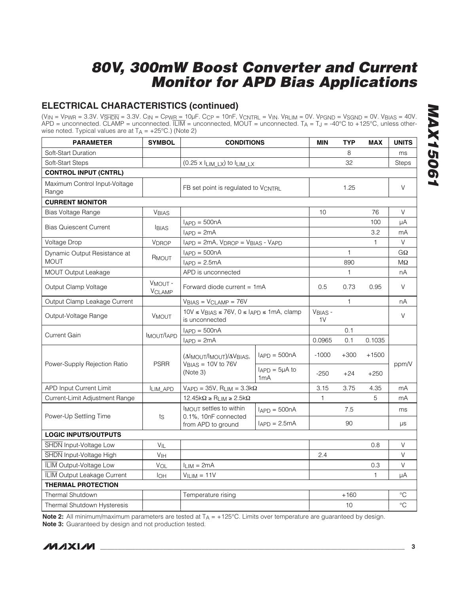## **ELECTRICAL CHARACTERISTICS (continued)**

(VIN = VPWR = 3.3V. VSHDN = 3.3V. CIN = CPWR = 10μF. CCP = 10nF, VCNTRL = VIN. VRLIM = 0V. VPGND = VSGND = 0V. VBIAS = 40V.  $APD =$  unconnected. CLAMP = unconnected.  $\overline{LIM} =$  unconnected, MOUT = unconnected. T<sub>A</sub> = T<sub>J</sub> = -40°C to +125°C, unless otherwise noted. Typical values are at  $T_A = +25^{\circ}C$ .) (Note 2)

| <b>PARAMETER</b>                       | <b>SYMBOL</b>                        | <b>CONDITIONS</b>                                                                  |                                  | <b>MIN</b>                | TYP    | <b>MAX</b>   | <b>UNITS</b> |
|----------------------------------------|--------------------------------------|------------------------------------------------------------------------------------|----------------------------------|---------------------------|--------|--------------|--------------|
| Soft-Start Duration                    |                                      |                                                                                    |                                  |                           | 8      |              | ms           |
| Soft-Start Steps                       |                                      | $(0.25 \times I_{LIM_LX})$ to $I_{LIM_LX}$                                         |                                  | 32                        |        | Steps        |              |
| <b>CONTROL INPUT (CNTRL)</b>           |                                      |                                                                                    |                                  |                           |        |              |              |
| Maximum Control Input-Voltage<br>Range |                                      | FB set point is regulated to VCNTRL                                                |                                  |                           | 1.25   |              | V            |
| <b>CURRENT MONITOR</b>                 |                                      |                                                                                    |                                  |                           |        |              |              |
| Bias Voltage Range                     | <b>VBIAS</b>                         |                                                                                    |                                  | 10                        |        | 76           | V            |
|                                        | <b>BIAS</b>                          | $I_{APD} = 500nA$                                                                  |                                  |                           |        | 100          | μA           |
| <b>Bias Quiescent Current</b>          |                                      | $I_{APD} = 2mA$                                                                    |                                  |                           | 3.2    | mA           |              |
| <b>Voltage Drop</b>                    | <b>VDROP</b>                         | IAPD = 2mA, VDROP = VBIAS - VAPD                                                   |                                  |                           |        | $\mathbf{1}$ | V            |
| Dynamic Output Resistance at           | R <sub>MOUT</sub>                    | $I_{APD} = 500nA$                                                                  |                                  |                           | 1      |              | GΩ           |
| <b>MOUT</b>                            |                                      | $I_{APD} = 2.5mA$                                                                  |                                  |                           | 890    |              | MΩ           |
| <b>MOUT Output Leakage</b>             |                                      | APD is unconnected                                                                 |                                  |                           | 1      |              | nA           |
| Output Clamp Voltage                   | V <sub>MOUT</sub> -<br><b>VCLAMP</b> | Forward diode current = 1mA                                                        | 0.5                              | 0.73                      | 0.95   | V            |              |
| Output Clamp Leakage Current           |                                      | $VBIAS = VCLAMP = 76V$                                                             |                                  | $\mathbf{1}$              |        | nA           |              |
| Output-Voltage Range                   | <b>VMOUT</b>                         | $10V \leq V_{BIAS} \leq 76V$ , $0 \leq I_{APD} \leq 1mA$ , clamp<br>is unconnected |                                  | VBIAS -<br>1 <sup>V</sup> |        |              | $\vee$       |
|                                        |                                      | $I_{APD} = 500nA$                                                                  |                                  |                           | 0.1    |              |              |
| <b>Current Gain</b>                    | <b>IMOUT/LAPD</b>                    | $I_{APD} = 2mA$                                                                    |                                  | 0.0965                    | 0.1    | 0.1035       |              |
| Power-Supply Rejection Ratio           | <b>PSRR</b>                          | $(\Delta I_{MOUT}/I_{MOUT})/\Delta V_{BIAS}$<br>$VBIAS = 10V$ to 76V<br>(Note 3)   | $I_{APD} = 500nA$                | $-1000$                   | $+300$ | $+1500$      | ppm/V        |
|                                        |                                      |                                                                                    | $I_{\rm APD} = 5\mu A$ to<br>1mA | $-250$                    | $+24$  | $+250$       |              |
| APD Input Current Limit                | ILIM_APD                             | $V_{APD} = 35V$ , R <sub>LIM</sub> = $3.3k\Omega$                                  |                                  | 3.15                      | 3.75   | 4.35         | mA           |
| Current-Limit Adjustment Range         |                                      | $12.45k\Omega \ge R_{LIM} \ge 2.5k\Omega$                                          |                                  | 1                         |        | 5            | mA           |
|                                        |                                      | IMOUT settles to within                                                            | $I_{APD} = 500nA$                |                           | 7.5    |              | ms           |
| Power-Up Settling Time                 | ts                                   | 0.1%, 10nF connected<br>from APD to ground                                         | $I_{APD} = 2.5mA$                |                           | 90     |              | $\mu s$      |
| <b>LOGIC INPUTS/OUTPUTS</b>            |                                      |                                                                                    |                                  |                           |        |              |              |
| SHDN Input-Voltage Low                 | $V_{IL}$                             |                                                                                    |                                  |                           |        | 0.8          | V            |
| <b>SHDN</b> Input-Voltage High         | V <sub>IH</sub>                      |                                                                                    |                                  | 2.4                       |        |              | $\vee$       |
| <b>ILIM</b> Output-Voltage Low         | VOL                                  | $I_{LIM} = 2mA$                                                                    |                                  |                           | 0.3    | $\vee$       |              |
| <b>ILIM Output Leakage Current</b>     | <b>I</b> OH                          | $VILIM = 11V$                                                                      |                                  |                           |        | 1            | μA           |
| <b>THERMAL PROTECTION</b>              |                                      |                                                                                    |                                  |                           |        |              |              |
| <b>Thermal Shutdown</b>                |                                      | Temperature rising                                                                 |                                  | $+160$                    |        | $^{\circ}C$  |              |
| Thermal Shutdown Hysteresis            |                                      |                                                                                    |                                  |                           | 10     |              | $\circ$ C    |

**Note 2:** All minimum/maximum parameters are tested at T<sub>A</sub> = +125°C. Limits over temperature are guaranteed by design. **Note 3:** Guaranteed by design and not production tested.

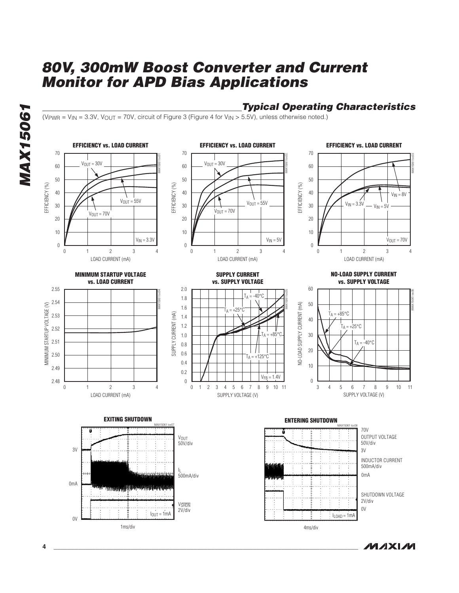## **Typical Operating Characteristics**

 $(V_{\text{PWR}} = V_{\text{IN}} = 3.3V, V_{\text{OUT}} = 70V$ , circuit of Figure 3 (Figure 4 for  $V_{\text{IN}} > 5.5V$ ), unless otherwise noted.)



**MAXIM** 

**MAX15061 MAX15061**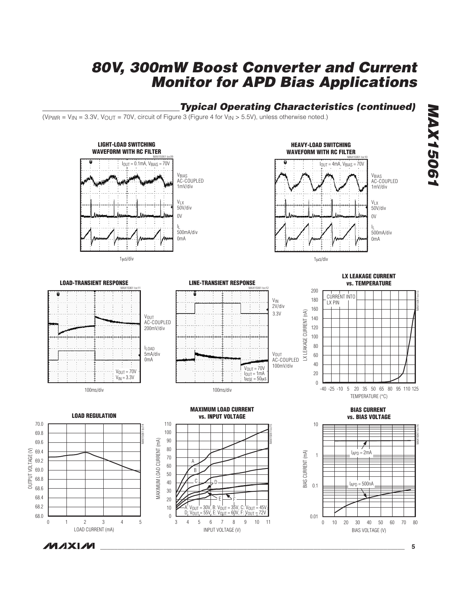## **Typical Operating Characteristics (continued)**

(V<sub>PWR</sub> = V<sub>IN</sub> = 3.3V, V<sub>OUT</sub> = 70V, circuit of Figure 3 (Figure 4 for V<sub>IN</sub> > 5.5V), unless otherwise noted.)



OUTPUT VOLTAGE (V)

OUTPUT VOLTAGE (V)

# **MAX15061 MAX15061**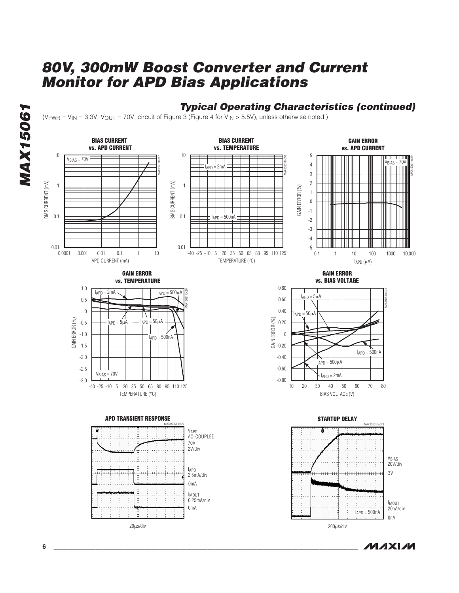**BIAS CURRENT BIAS CURRENT GAIN ERROR vs. APD CURRENT vs. TEMPERATURE vs. APD CURRENT** 5 10 10  $V_{BIAS} = 70V$ MAX15061 toc17 MAX15061 toc18 MAX15061 toc19  $v_{\text{BIAS}} = 70V$ 4  $I_{APD} = 2mA$ 3 2 BIAS CURRENT (mA) BIAS CURRENT (mA) BIAS CURRENT (mA) BIAS CURRENT (mA) 1 1 GAIN ERROR (%) GAIN ERROR (%) 1 0 -1 0.1 0.1  $I_{\text{APD}} = 500nA$ -2 -3 -4  $0.01$   $0.0001$ 0.01 -5 0.001 0.01 0.1 1 0.1 1 10 100 1000 10.000 1 10 100 1000 0.0001 0.001 0.01 1 10 -25 -10 5 20 35 50 65 80 95 110 -40 125 APD CURRENT (mA) TEMPERATURE (°C) IAPD (μA) **GAIN ERROR GAIN ERROR vs. TEMPERATURE vs. BIAS VOLTAGE** 1.0 0.80  $I_{APD} = 2mA$   $\sim$   $I_{APD} = 500 \mu A$ MAX15061 toc20 MAX15061 toc21  $I_{APD} = 5\mu A$ 0.5 0.60 0.40 0  $I_{APD} = 50 \mu A$ GAIN ERROR (%) GAIN ERROR (%) GAIN ERROR (%) -0.5  $_{\text{APD}} = 5\mu\text{A}$   $\leftarrow$   $I_{\text{APD}} = 50\mu\text{A}$ 0.20 -1.0 0 IAPD = 500nA -1.5 -0.20  $I_{APD} = 500nA$ -2.0 -0.40  $I_{APD} = 500 \mu A$ -2.5 -0.60  $V<sub>BIAS</sub> = 70V$  $I_{APD} = 2mA$ -3.0 -0.80 10 20 30 40 50 60 70 80 20 30 40 50 60 70 -25 -10 5 20 35 50 65 80 95 110 -40 125 TEMPERATURE (°C) BIAS VOLTAGE (V) **APD TRANSIENT RESPONSESTARTUP DELAY** MAX15061 toc22 MAX15061 toc23 VAPD AC-COUPLED 70V 2V/div VBIAS 20V/div IAPD 2.5mA/div 3V minnîmimnimimnimin 0mA IMOUT 0.25mA/div IMOUT 0mA 20nA/div  $I_{APD} = 500nA$  $0nA$ 20μs/div 200μs/div

**Typical Operating Characteristics (continued)**

**MAXM** 

(V<sub>PWR</sub> = V<sub>IN</sub> = 3.3V, V<sub>OUT</sub> = 70V, circuit of Figure 3 (Figure 4 for V<sub>IN</sub> > 5.5V), unless otherwise noted.)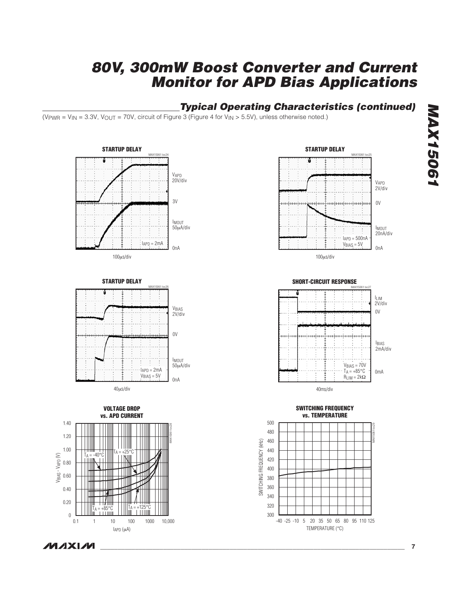## **Typical Operating Characteristics (continued)**

(V<sub>PWR</sub> = V<sub>IN</sub> = 3.3V, V<sub>OUT</sub> = 70V, circuit of Figure 3 (Figure 4 for V<sub>IN</sub> > 5.5V), unless otherwise noted.)

















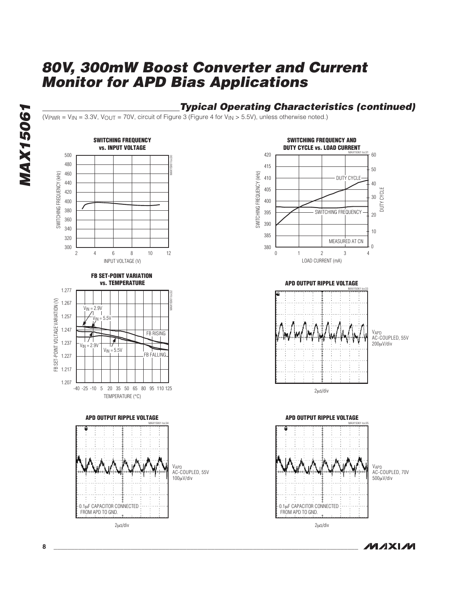## **Typical Operating Characteristics (continued)**

(V<sub>PWR</sub> = V<sub>IN</sub> = 3.3V, V<sub>OUT</sub> = 70V, circuit of Figure 3 (Figure 4 for V<sub>IN</sub> > 5.5V), unless otherwise noted.)



**MAX15061 MAX15061**

**MAXM**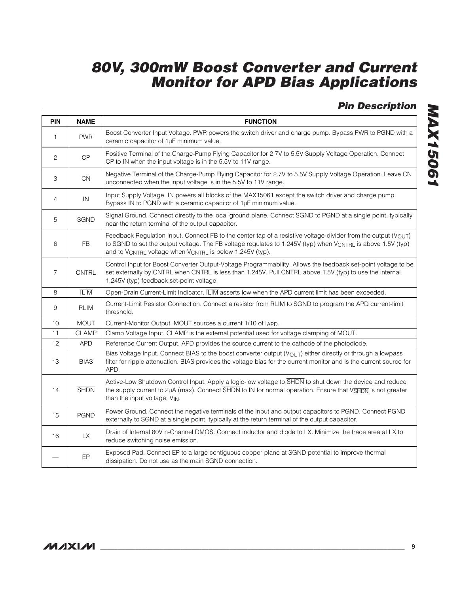**Pin Description**

| <b>PIN</b>     | <b>NAME</b>  | <b>FUNCTION</b>                                                                                                                                                                                                                                                                          |  |  |
|----------------|--------------|------------------------------------------------------------------------------------------------------------------------------------------------------------------------------------------------------------------------------------------------------------------------------------------|--|--|
| $\mathbf{1}$   | <b>PWR</b>   | Boost Converter Input Voltage. PWR powers the switch driver and charge pump. Bypass PWR to PGND with a<br>ceramic capacitor of 1µF minimum value.                                                                                                                                        |  |  |
| $\mathbf{2}$   | CP           | Positive Terminal of the Charge-Pump Flying Capacitor for 2.7V to 5.5V Supply Voltage Operation. Connect<br>CP to IN when the input voltage is in the 5.5V to 11V range.                                                                                                                 |  |  |
| 3              | <b>CN</b>    | Negative Terminal of the Charge-Pump Flying Capacitor for 2.7V to 5.5V Supply Voltage Operation. Leave CN<br>unconnected when the input voltage is in the 5.5V to 11V range.                                                                                                             |  |  |
| 4              | ${\sf IN}$   | Input Supply Voltage. IN powers all blocks of the MAX15061 except the switch driver and charge pump.<br>Bypass IN to PGND with a ceramic capacitor of 1µF minimum value.                                                                                                                 |  |  |
| 5              | <b>SGND</b>  | Signal Ground. Connect directly to the local ground plane. Connect SGND to PGND at a single point, typically<br>near the return terminal of the output capacitor.                                                                                                                        |  |  |
| 6              | <b>FB</b>    | Feedback Regulation Input. Connect FB to the center tap of a resistive voltage-divider from the output (VOUT)<br>to SGND to set the output voltage. The FB voltage regulates to 1.245V (typ) when VCNTRL is above 1.5V (typ)<br>and to VCNTRL voltage when VCNTRL is below 1.245V (typ). |  |  |
| $\overline{7}$ | <b>CNTRL</b> | Control Input for Boost Converter Output-Voltage Programmability. Allows the feedback set-point voltage to be<br>set externally by CNTRL when CNTRL is less than 1.245V. Pull CNTRL above 1.5V (typ) to use the internal<br>1.245V (typ) feedback set-point voltage.                     |  |  |
| 8              | <b>ILIM</b>  | Open-Drain Current-Limit Indicator. ILIM asserts low when the APD current limit has been exceeded.                                                                                                                                                                                       |  |  |
| 9              | <b>RLIM</b>  | Current-Limit Resistor Connection. Connect a resistor from RLIM to SGND to program the APD current-limit<br>threshold.                                                                                                                                                                   |  |  |
| 10             | <b>MOUT</b>  | Current-Monitor Output. MOUT sources a current 1/10 of IAPD.                                                                                                                                                                                                                             |  |  |
| 11             | <b>CLAMP</b> | Clamp Voltage Input. CLAMP is the external potential used for voltage clamping of MOUT.                                                                                                                                                                                                  |  |  |
| 12             | <b>APD</b>   | Reference Current Output. APD provides the source current to the cathode of the photodiode.                                                                                                                                                                                              |  |  |
| 13             | <b>BIAS</b>  | Bias Voltage Input. Connect BIAS to the boost converter output (VOUT) either directly or through a lowpass<br>filter for ripple attenuation. BIAS provides the voltage bias for the current monitor and is the current source for<br>APD.                                                |  |  |
| 14             | <b>SHDN</b>  | Active-Low Shutdown Control Input. Apply a logic-low voltage to SHDN to shut down the device and reduce<br>the supply current to 2µA (max). Connect SHDN to IN for normal operation. Ensure that V <sub>SHDN</sub> is not greater<br>than the input voltage, VIN.                        |  |  |
| 15             | <b>PGND</b>  | Power Ground. Connect the negative terminals of the input and output capacitors to PGND. Connect PGND<br>externally to SGND at a single point, typically at the return terminal of the output capacitor.                                                                                 |  |  |
| 16             | <b>LX</b>    | Drain of Internal 80V n-Channel DMOS. Connect inductor and diode to LX. Minimize the trace area at LX to<br>reduce switching noise emission.                                                                                                                                             |  |  |
|                | EP           | Exposed Pad. Connect EP to a large contiguous copper plane at SGND potential to improve thermal<br>dissipation. Do not use as the main SGND connection.                                                                                                                                  |  |  |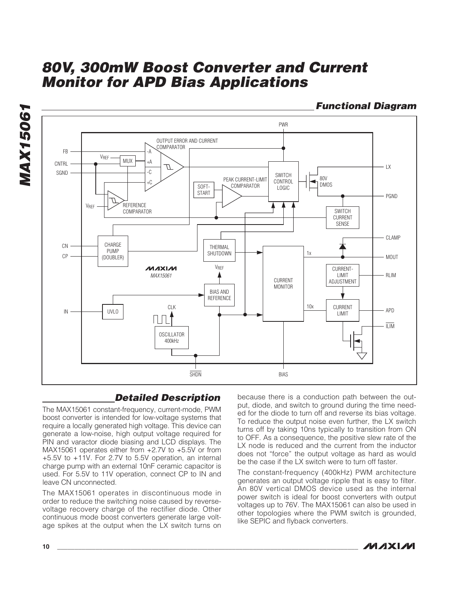

**Functional Diagram**



## **Detailed Description**

The MAX15061 constant-frequency, current-mode, PWM boost converter is intended for low-voltage systems that require a locally generated high voltage. This device can generate a low-noise, high output voltage required for PIN and varactor diode biasing and LCD displays. The MAX15061 operates either from +2.7V to +5.5V or from +5.5V to +11V. For 2.7V to 5.5V operation, an internal charge pump with an external 10nF ceramic capacitor is used. For 5.5V to 11V operation, connect CP to IN and leave CN unconnected.

The MAX15061 operates in discontinuous mode in order to reduce the switching noise caused by reversevoltage recovery charge of the rectifier diode. Other continuous mode boost converters generate large voltage spikes at the output when the LX switch turns on because there is a conduction path between the output, diode, and switch to ground during the time needed for the diode to turn off and reverse its bias voltage. To reduce the output noise even further, the LX switch turns off by taking 10ns typically to transition from ON to OFF. As a consequence, the positive slew rate of the LX node is reduced and the current from the inductor does not "force" the output voltage as hard as would be the case if the LX switch were to turn off faster.

The constant-frequency (400kHz) PWM architecture generates an output voltage ripple that is easy to filter. An 80V vertical DMOS device used as the internal power switch is ideal for boost converters with output voltages up to 76V. The MAX15061 can also be used in other topologies where the PWM switch is grounded, like SEPIC and flyback converters.

$$
\boldsymbol{\mathcal{N}}\boldsymbol{\mathcal{N}}\boldsymbol{\mathcal{N}}\boldsymbol{\mathcal{N}}
$$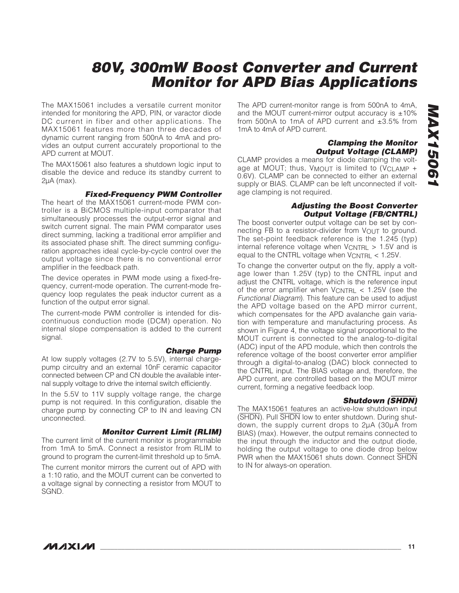The MAX15061 includes a versatile current monitor intended for monitoring the APD, PIN, or varactor diode DC current in fiber and other applications. The MAX15061 features more than three decades of dynamic current ranging from 500nA to 4mA and provides an output current accurately proportional to the APD current at MOUT.

The MAX15061 also features a shutdown logic input to disable the device and reduce its standby current to 2μA (max).

#### **Fixed-Frequency PWM Controller**

The heart of the MAX15061 current-mode PWM controller is a BiCMOS multiple-input comparator that simultaneously processes the output-error signal and switch current signal. The main PWM comparator uses direct summing, lacking a traditional error amplifier and its associated phase shift. The direct summing configuration approaches ideal cycle-by-cycle control over the output voltage since there is no conventional error amplifier in the feedback path.

The device operates in PWM mode using a fixed-frequency, current-mode operation. The current-mode frequency loop regulates the peak inductor current as a function of the output error signal.

The current-mode PWM controller is intended for discontinuous conduction mode (DCM) operation. No internal slope compensation is added to the current signal.

**Charge Pump** At low supply voltages (2.7V to 5.5V), internal chargepump circuitry and an external 10nF ceramic capacitor connected between CP and CN double the available internal supply voltage to drive the internal switch efficiently.

In the 5.5V to 11V supply voltage range, the charge pump is not required. In this configuration, disable the charge pump by connecting CP to IN and leaving CN unconnected.

#### **Monitor Current Limit (RLIM)**

The current limit of the current monitor is programmable from 1mA to 5mA. Connect a resistor from RLIM to ground to program the current-limit threshold up to 5mA.

The current monitor mirrors the current out of APD with a 1:10 ratio, and the MOUT current can be converted to a voltage signal by connecting a resistor from MOUT to SGND.

The APD current-monitor range is from 500nA to 4mA, and the MOUT current-mirror output accuracy is  $\pm 10\%$ from 500nA to 1mA of APD current and ±3.5% from 1mA to 4mA of APD current.

#### **Clamping the Monitor Output Voltage (CLAMP)**

CLAMP provides a means for diode clamping the voltage at MOUT; thus,  $V_{MOUT}$  is limited to (VCLAMP + 0.6V). CLAMP can be connected to either an external supply or BIAS. CLAMP can be left unconnected if voltage clamping is not required.

#### **Adjusting the Boost Converter Output Voltage (FB/CNTRL)**

The boost converter output voltage can be set by connecting FB to a resistor-divider from V<sub>OUT</sub> to ground. The set-point feedback reference is the 1.245 (typ) internal reference voltage when  $V_{\text{CNTRL}} > 1.5V$  and is equal to the CNTRL voltage when VCNTRL < 1.25V.

To change the converter output on the fly, apply a voltage lower than 1.25V (typ) to the CNTRL input and adjust the CNTRL voltage, which is the reference input of the error amplifier when VCNTRL < 1.25V (see the Functional Diagram). This feature can be used to adjust the APD voltage based on the APD mirror current, which compensates for the APD avalanche gain variation with temperature and manufacturing process. As shown in Figure 4, the voltage signal proportional to the MOUT current is connected to the analog-to-digital (ADC) input of the APD module, which then controls the reference voltage of the boost converter error amplifier through a digital-to-analog (DAC) block connected to the CNTRL input. The BIAS voltage and, therefore, the APD current, are controlled based on the MOUT mirror current, forming a negative feedback loop.

#### **Shutdown (**SHDN**)**

The MAX15061 features an active-low shutdown input (SHDN). Pull SHDN low to enter shutdown. During shutdown, the supply current drops to 2μA (30μA from BIAS) (max). However, the output remains connected to the input through the inductor and the output diode, holding the output voltage to one diode drop below PWR when the MAX15061 shuts down. Connect SHDN to IN for always-on operation.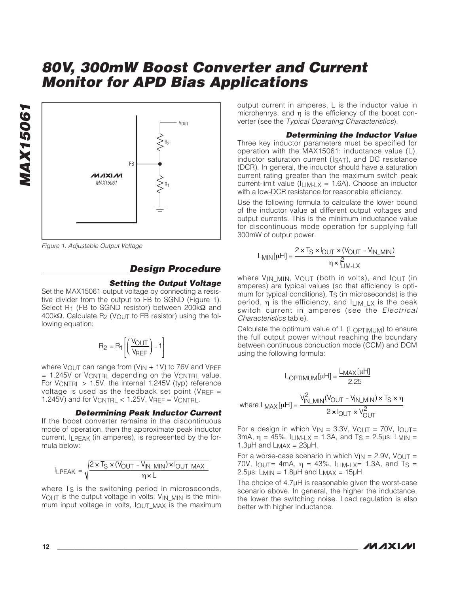

Figure 1. Adjustable Output Voltage

## **Design Procedure**

#### **Setting the Output Voltage**

Set the MAX15061 output voltage by connecting a resistive divider from the output to FB to SGND (Figure 1). Select R<sub>1</sub> (FB to SGND resistor) between 200kΩ and 400kΩ. Calculate R<sub>2</sub> (V<sub>OUT</sub> to FB resistor) using the following equation:

$$
R_2 = R_1 \left[ \left( \frac{V_{OUT}}{V_{REF}} \right) - 1 \right]
$$

where  $V_{\text{OUT}}$  can range from (V<sub>IN</sub> + 1V) to 76V and VREF  $= 1.245V$  or VCNTRL depending on the VCNTRL value. For  $V_{\text{CNTRL}} > 1.5V$ , the internal 1.245V (typ) reference voltage is used as the feedback set point ( $V_{REF}$  = 1.245V) and for VCNTRL < 1.25V, VREF = VCNTRL.

**Determining Peak Inductor Current**

If the boost converter remains in the discontinuous mode of operation, then the approximate peak inductor current,  $I_1$  PFAK (in amperes), is represented by the formula below:

$$
I_{\text{LPEAK}} = \sqrt{\frac{2 \times T_S \times (V_{\text{OUT}} - V_{\text{IN\_MIN}}) \times I_{\text{OUT\_MAX}}}{\eta \times L}}
$$

where T<sub>S</sub> is the switching period in microseconds, VOUT is the output voltage in volts, VIN MIN is the minimum input voltage in volts, lout MAX is the maximum output current in amperes, L is the inductor value in microhenrys, and η is the efficiency of the boost converter (see the Typical Operating Characteristics).

#### **Determining the Inductor Value**

Three key inductor parameters must be specified for operation with the MAX15061: inductance value (L), inductor saturation current (ISAT), and DC resistance (DCR). In general, the inductor should have a saturation current rating greater than the maximum switch peak current-limit value ( $I_{\text{LIM-1 X}} = 1.6$ A). Choose an inductor with a low-DCR resistance for reasonable efficiency.

Use the following formula to calculate the lower bound of the inductor value at different output voltages and output currents. This is the minimum inductance value for discontinuous mode operation for supplying full 300mW of output power.

$$
L_{MIN}[uH] = \frac{2 \times T_S \times I_{OUT} \times (V_{OUT} - V_{IN\_MIN})}{\eta \times I_{LIM-LX}^2}
$$

where V<sub>IN</sub> MIN, VOUT (both in volts), and IOUT (in amperes) are typical values (so that efficiency is optimum for typical conditions),  $T<sub>S</sub>$  (in microseconds) is the period,  $\eta$  is the efficiency, and  $\eta$   $\eta$  is the peak switch current in amperes (see the Electrical Characteristics table).

Calculate the optimum value of L (LOPTIMUM) to ensure the full output power without reaching the boundary between continuous conduction mode (CCM) and DCM using the following formula:

$$
L_{OPTIMUM}[uH] = \frac{L_{MAX}[uH]}{2.25}
$$
  
where 
$$
L_{MAX}[uH] = \frac{V_{IN\_MIN}^{2}(V_{OUT} - V_{IN\_MIN}) \times T_{S} \times \eta}{2 \times I_{OUT} \times V_{OUT}^{2}}
$$

For a design in which  $V_{IN} = 3.3V$ ,  $V_{OUT} = 70V$ ,  $I_{OUT} =$ 3mA,  $\eta$  = 45%,  $I_{LIM-LX}$  = 1.3A, and T<sub>S</sub> = 2.5 µs: L<sub>MIN</sub> =  $1.3\mu$ H and  $L_{MAX} = 23\mu$ H.

For a worse-case scenario in which  $V_{IN} = 2.9V$ ,  $V_{OUT} =$ 70V,  $I_{\text{OUT}}$  4mA,  $\eta$  = 43%,  $I_{\text{LIM-LX}}$  = 1.3A, and T<sub>S</sub> = 2.5μs: L<sub>MIN</sub> = 1.8μH and L<sub>MAX</sub> = 15μH.

The choice of 4.7μH is reasonable given the worst-case scenario above. In general, the higher the inductance, the lower the switching noise. Load regulation is also better with higher inductance.

$$
\boldsymbol{\mathcal{W}}\boldsymbol{\mathsf{J}}\boldsymbol{\mathsf{X}}\boldsymbol{\mathsf{I}}\boldsymbol{\mathcal{M}}
$$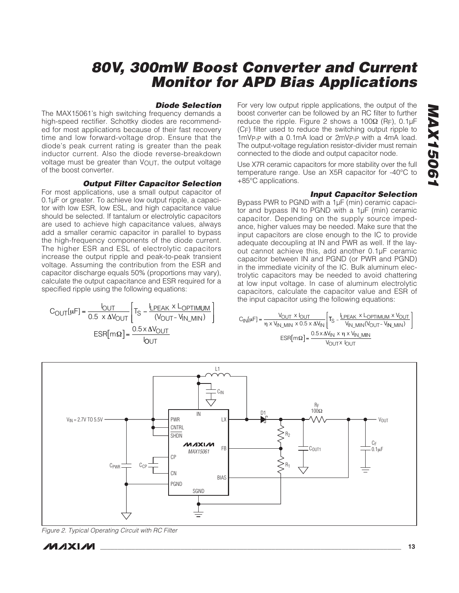#### **Diode Selection**

The MAX15061's high switching frequency demands a high-speed rectifier. Schottky diodes are recommended for most applications because of their fast recovery time and low forward-voltage drop. Ensure that the diode's peak current rating is greater than the peak inductor current. Also the diode reverse-breakdown voltage must be greater than VOUT, the output voltage of the boost converter.

#### **Output Filter Capacitor Selection**

For most applications, use a small output capacitor of 0.1μF or greater. To achieve low output ripple, a capacitor with low ESR, low ESL, and high capacitance value should be selected. If tantalum or electrolytic capacitors are used to achieve high capacitance values, always add a smaller ceramic capacitor in parallel to bypass the high-frequency components of the diode current. The higher ESR and ESL of electrolytic capacitors increase the output ripple and peak-to-peak transient voltage. Assuming the contribution from the ESR and capacitor discharge equals 50% (proportions may vary), calculate the output capacitance and ESR required for a specified ripple using the following equations:

$$
C_{OUT}[\mu F] = \frac{I_{OUT}}{0.5 \times \Delta V_{OUT}} \left[ T_S - \frac{I_{LPEAK} \times L_{OPTIMUM}}{(V_{OUT} - V_{IN\_MIN})} \right]
$$

$$
ESR[m\Omega] = \frac{0.5 \times \Delta V_{OUT}}{I_{OUT}}
$$

For very low output ripple applications, the output of the boost converter can be followed by an RC filter to further reduce the ripple. Figure 2 shows a  $100Ω$  (RF), 0.1μF (CF) filter used to reduce the switching output ripple to 1mVP-P with a 0.1mA load or 2mVP-P with a 4mA load. The output-voltage regulation resistor-divider must remain connected to the diode and output capacitor node.

Use X7R ceramic capacitors for more stability over the full temperature range. Use an X5R capacitor for -40°C to +85°C applications.

#### **Input Capacitor Selection**

Bypass PWR to PGND with a 1μF (min) ceramic capacitor and bypass IN to PGND with a 1μF (min) ceramic capacitor. Depending on the supply source impedance, higher values may be needed. Make sure that the input capacitors are close enough to the IC to provide adequate decoupling at IN and PWR as well. If the layout cannot achieve this, add another 0.1μF ceramic capacitor between IN and PGND (or PWR and PGND) in the immediate vicinity of the IC. Bulk aluminum electrolytic capacitors may be needed to avoid chattering at low input voltage. In case of aluminum electrolytic capacitors, calculate the capacitor value and ESR of the input capacitor using the following equations:

$$
C_{IN}[\mu F] = \frac{V_{OUT} \times I_{OUT}}{\eta \times V_{IN\_MIN} \times 0.5 \times \Delta V_{IN}} \left[ T_S - \frac{I_{LPEAK} \times L_{OPTIMUM} \times V_{OUT}}{V_{IN\_MIN}(V_{OUT} - V_{IN\_MIN})} \right]
$$

$$
ESR[m\Omega] = \frac{0.5 \times \Delta V_{IN} \times \eta \times V_{IN\_MIN}}{V_{OUT} \times I_{OUT}}
$$



Figure 2. Typical Operating Circuit with RC Filter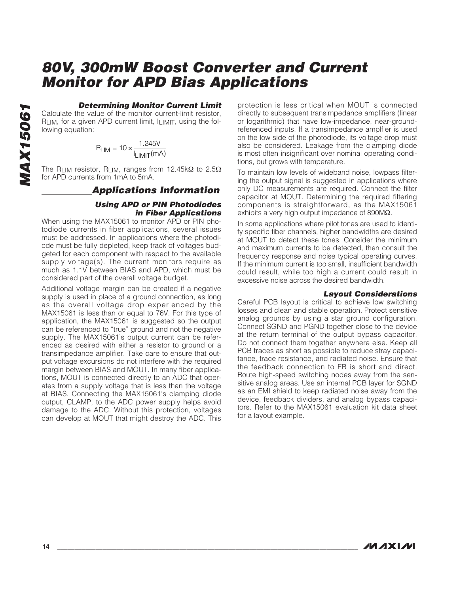#### **Determining Monitor Current Limit**

Calculate the value of the monitor current-limit resistor, RLIM, for a given APD current limit, ILIMIT, using the following equation:

$$
R_{LIM} = 10 \times \frac{1.245V}{I_{LIMIT}(mA)}
$$

The RLIM resistor, RLIM, ranges from 12.45k $\Omega$  to 2.5 $\Omega$ for APD currents from 1mA to 5mA.

#### **Applications Information**

#### **Using APD or PIN Photodiodes in Fiber Applications**

When using the MAX15061 to monitor APD or PIN photodiode currents in fiber applications, several issues must be addressed. In applications where the photodiode must be fully depleted, keep track of voltages budgeted for each component with respect to the available supply voltage(s). The current monitors require as much as 1.1V between BIAS and APD, which must be considered part of the overall voltage budget.

Additional voltage margin can be created if a negative supply is used in place of a ground connection, as long as the overall voltage drop experienced by the MAX15061 is less than or equal to 76V. For this type of application, the MAX15061 is suggested so the output can be referenced to "true" ground and not the negative supply. The MAX15061's output current can be referenced as desired with either a resistor to ground or a transimpedance amplifier. Take care to ensure that output voltage excursions do not interfere with the required margin between BIAS and MOUT. In many fiber applications, MOUT is connected directly to an ADC that operates from a supply voltage that is less than the voltage at BIAS. Connecting the MAX15061's clamping diode output, CLAMP, to the ADC power supply helps avoid damage to the ADC. Without this protection, voltages can develop at MOUT that might destroy the ADC. This protection is less critical when MOUT is connected directly to subsequent transimpedance amplifiers (linear or logarithmic) that have low-impedance, near-groundreferenced inputs. If a transimpedance amplfier is used on the low side of the photodiode, its voltage drop must also be considered. Leakage from the clamping diode is most often insignificant over nominal operating conditions, but grows with temperature.

To maintain low levels of wideband noise, lowpass filtering the output signal is suggested in applications where only DC measurements are required. Connect the filter capacitor at MOUT. Determining the required filtering components is straightforward, as the MAX15061 exhibits a very high output impedance of 890MΩ.

In some applications where pilot tones are used to identify specific fiber channels, higher bandwidths are desired at MOUT to detect these tones. Consider the minimum and maximum currents to be detected, then consult the frequency response and noise typical operating curves. If the minimum current is too small, insufficient bandwidth could result, while too high a current could result in excessive noise across the desired bandwidth.

#### **Layout Considerations**

Careful PCB layout is critical to achieve low switching losses and clean and stable operation. Protect sensitive analog grounds by using a star ground configuration. Connect SGND and PGND together close to the device at the return terminal of the output bypass capacitor. Do not connect them together anywhere else. Keep all PCB traces as short as possible to reduce stray capacitance, trace resistance, and radiated noise. Ensure that the feedback connection to FB is short and direct. Route high-speed switching nodes away from the sensitive analog areas. Use an internal PCB layer for SGND as an EMI shield to keep radiated noise away from the device, feedback dividers, and analog bypass capacitors. Refer to the MAX15061 evaluation kit data sheet for a layout example.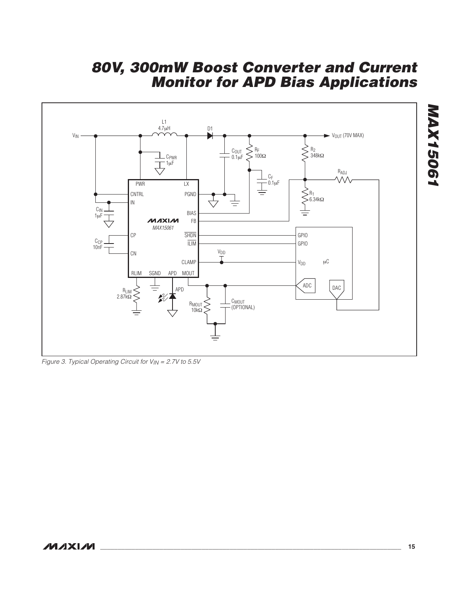

Figure 3. Typical Operating Circuit for VIN = 2.7V to 5.5V

**MAX15061**

**MAX15061**